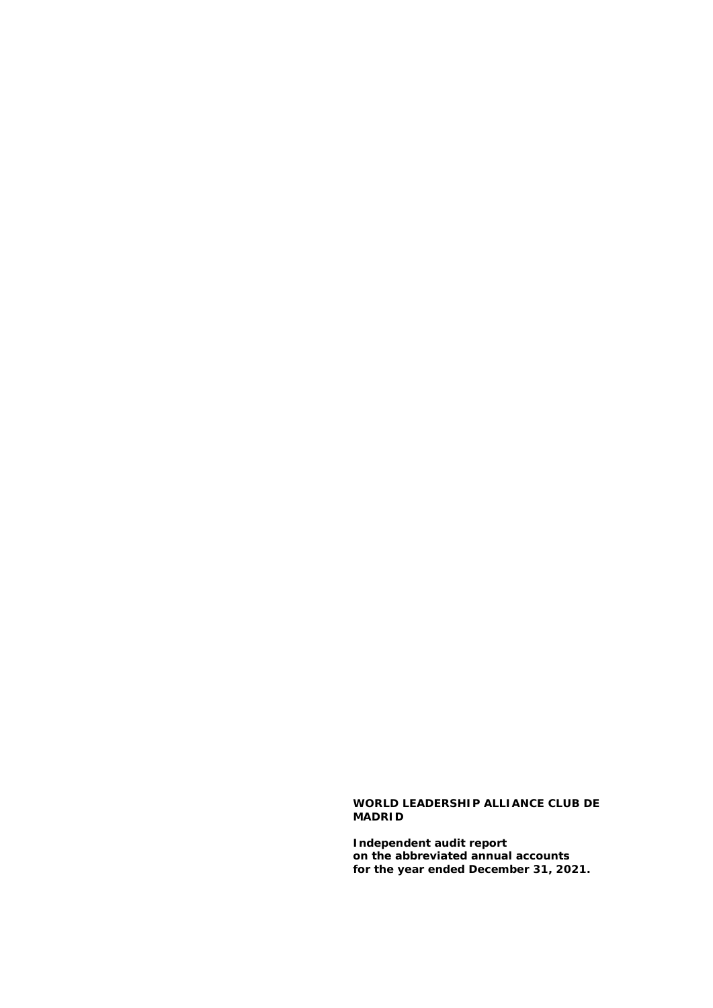#### **WORLD LEADERSHIP ALLIANCE CLUB DE MADRID**

**Independent audit report on the abbreviated annual accounts for the year ended December 31, 2021.**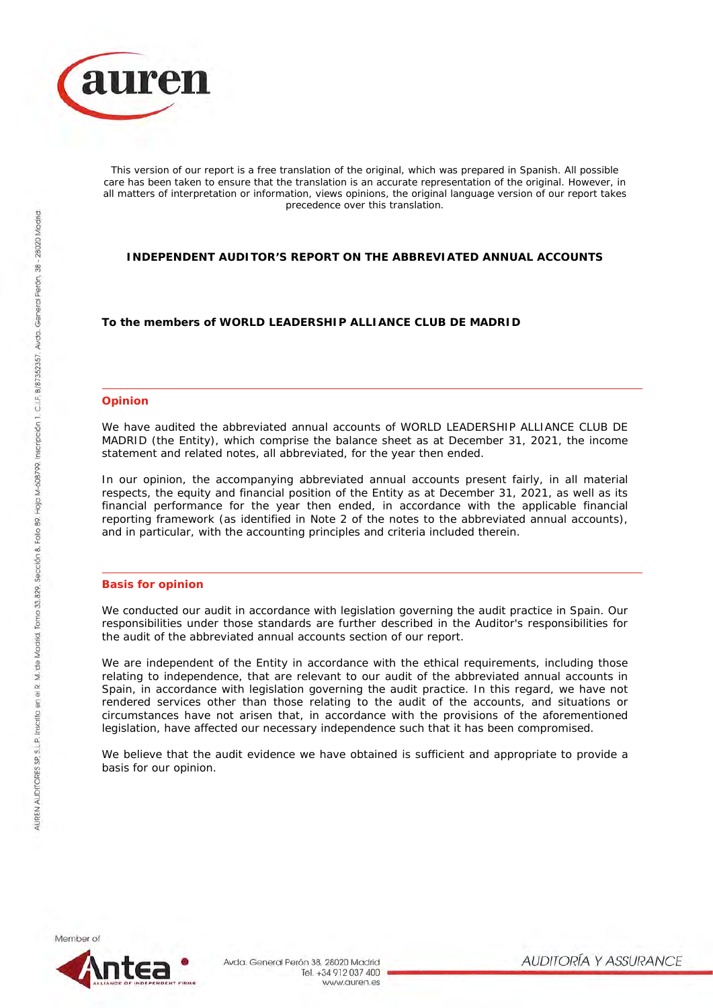

*This version of our report is a free translation of the original, which was prepared in Spanish. All possible care has been taken to ensure that the translation is an accurate representation of the original. However, in all matters of interpretation or information, views opinions, the original language version of our report takes precedence over this translation.*

## **INDEPENDENT AUDITOR'S REPORT ON THE ABBREVIATED ANNUAL ACCOUNTS**

**To the members of WORLD LEADERSHIP ALLIANCE CLUB DE MADRID**

#### **Opinion**

We have audited the abbreviated annual accounts of WORLD LEADERSHIP ALLIANCE CLUB DE MADRID (the Entity), which comprise the balance sheet as at December 31, 2021, the income statement and related notes, all abbreviated, for the year then ended.

In our opinion, the accompanying abbreviated annual accounts present fairly, in all material respects, the equity and financial position of the Entity as at December 31, 2021, as well as its financial performance for the year then ended, in accordance with the applicable financial reporting framework (as identified in Note 2 of the notes to the abbreviated annual accounts), and in particular, with the accounting principles and criteria included therein.

#### **Basis for opinion**

We conducted our audit in accordance with legislation governing the audit practice in Spain. Our responsibilities under those standards are further described in the Auditor's responsibilities for the audit of the abbreviated annual accounts section of our report.

We are independent of the Entity in accordance with the ethical requirements, including those relating to independence, that are relevant to our audit of the abbreviated annual accounts in Spain, in accordance with legislation governing the audit practice. In this regard, we have not rendered services other than those relating to the audit of the accounts, and situations or circumstances have not arisen that, in accordance with the provisions of the aforementioned legislation, have affected our necessary independence such that it has been compromised.

We believe that the audit evidence we have obtained is sufficient and appropriate to provide a basis for our opinion.

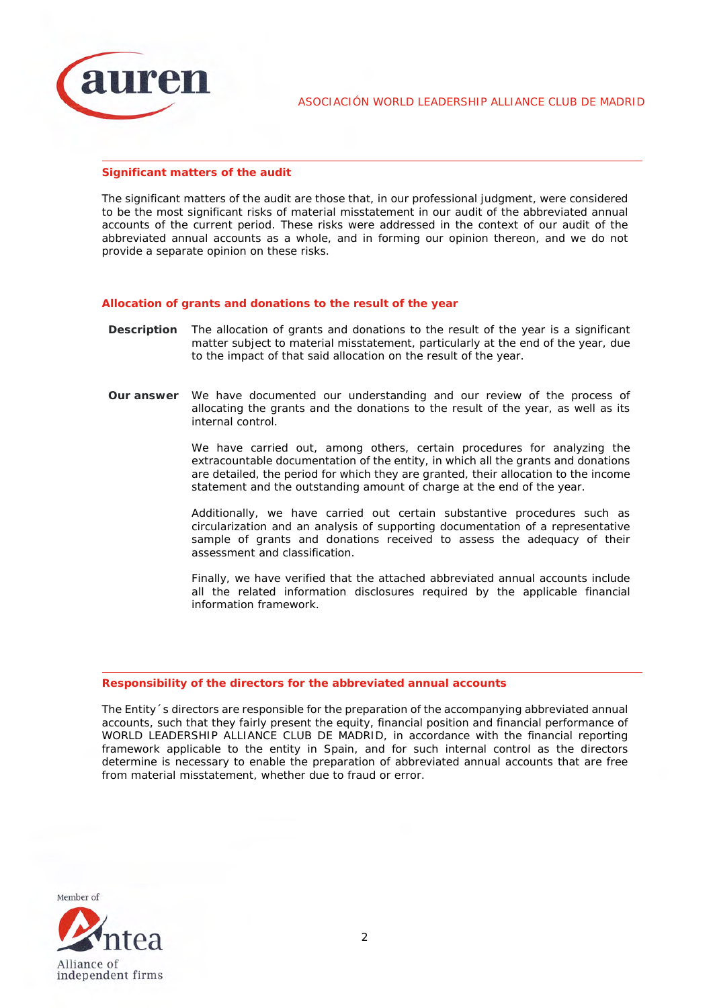

ASOCIACIÓN WORLD LEADERSHIP ALLIANCE CLUB DE MADRID

#### **Significant matters of the audit**

The significant matters of the audit are those that, in our professional judgment, were considered to be the most significant risks of material misstatement in our audit of the abbreviated annual accounts of the current period. These risks were addressed in the context of our audit of the abbreviated annual accounts as a whole, and in forming our opinion thereon, and we do not provide a separate opinion on these risks.

### *Allocation of grants and donations to the result of the year*

- **Description** The allocation of grants and donations to the result of the year is a significant matter subject to material misstatement, particularly at the end of the year, due to the impact of that said allocation on the result of the year.
- **Our answer** We have documented our understanding and our review of the process of allocating the grants and the donations to the result of the year, as well as its internal control.

We have carried out, among others, certain procedures for analyzing the extracountable documentation of the entity, in which all the grants and donations are detailed, the period for which they are granted, their allocation to the income statement and the outstanding amount of charge at the end of the year.

Additionally, we have carried out certain substantive procedures such as circularization and an analysis of supporting documentation of a representative sample of grants and donations received to assess the adequacy of their assessment and classification.

Finally, we have verified that the attached abbreviated annual accounts include all the related information disclosures required by the applicable financial information framework.

#### **Responsibility of the directors for the abbreviated annual accounts**

The Entity´s directors are responsible for the preparation of the accompanying abbreviated annual accounts, such that they fairly present the equity, financial position and financial performance of WORLD LEADERSHIP ALLIANCE CLUB DE MADRID, in accordance with the financial reporting framework applicable to the entity in Spain, and for such internal control as the directors determine is necessary to enable the preparation of abbreviated annual accounts that are free from material misstatement, whether due to fraud or error.

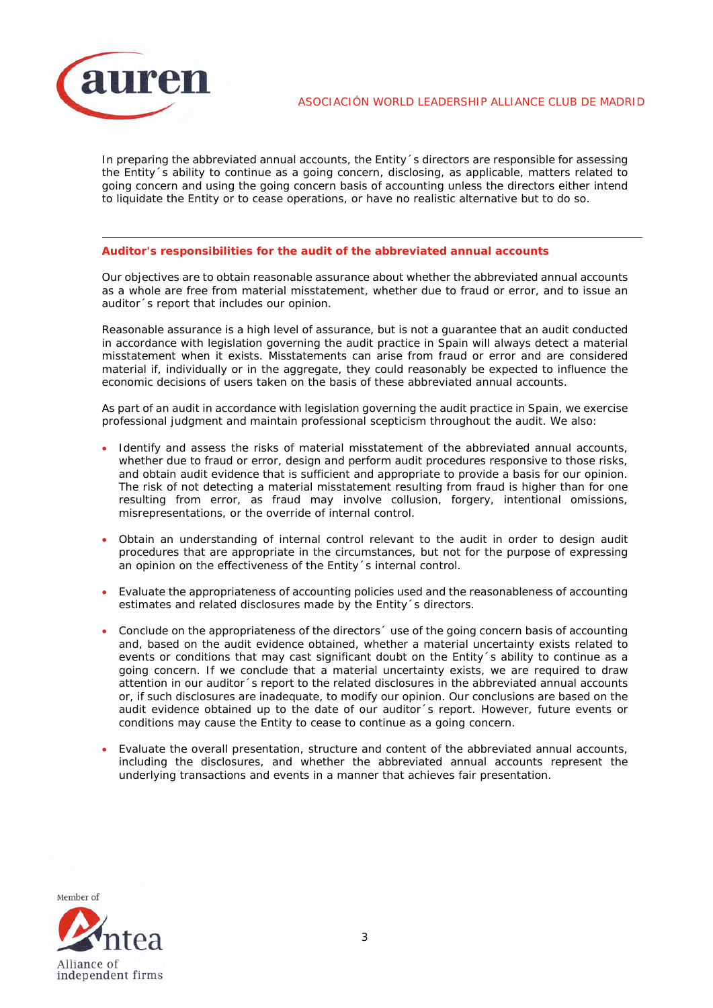

In preparing the abbreviated annual accounts, the Entity´s directors are responsible for assessing the Entity´s ability to continue as a going concern, disclosing, as applicable, matters related to going concern and using the going concern basis of accounting unless the directors either intend to liquidate the Entity or to cease operations, or have no realistic alternative but to do so.

#### **Auditor's responsibilities for the audit of the abbreviated annual accounts**

Our objectives are to obtain reasonable assurance about whether the abbreviated annual accounts as a whole are free from material misstatement, whether due to fraud or error, and to issue an auditor´s report that includes our opinion.

Reasonable assurance is a high level of assurance, but is not a guarantee that an audit conducted in accordance with legislation governing the audit practice in Spain will always detect a material misstatement when it exists. Misstatements can arise from fraud or error and are considered material if, individually or in the aggregate, they could reasonably be expected to influence the economic decisions of users taken on the basis of these abbreviated annual accounts.

As part of an audit in accordance with legislation governing the audit practice in Spain, we exercise professional judgment and maintain professional scepticism throughout the audit. We also:

- Identify and assess the risks of material misstatement of the abbreviated annual accounts, whether due to fraud or error, design and perform audit procedures responsive to those risks, and obtain audit evidence that is sufficient and appropriate to provide a basis for our opinion. The risk of not detecting a material misstatement resulting from fraud is higher than for one resulting from error, as fraud may involve collusion, forgery, intentional omissions, misrepresentations, or the override of internal control.
- Obtain an understanding of internal control relevant to the audit in order to design audit procedures that are appropriate in the circumstances, but not for the purpose of expressing an opinion on the effectiveness of the Entity´s internal control.
- Evaluate the appropriateness of accounting policies used and the reasonableness of accounting estimates and related disclosures made by the Entity´s directors.
- Conclude on the appropriateness of the directors´ use of the going concern basis of accounting and, based on the audit evidence obtained, whether a material uncertainty exists related to events or conditions that may cast significant doubt on the Entity's ability to continue as a going concern. If we conclude that a material uncertainty exists, we are required to draw attention in our auditor´s report to the related disclosures in the abbreviated annual accounts or, if such disclosures are inadequate, to modify our opinion. Our conclusions are based on the audit evidence obtained up to the date of our auditor´s report. However, future events or conditions may cause the Entity to cease to continue as a going concern.
- Evaluate the overall presentation, structure and content of the abbreviated annual accounts, including the disclosures, and whether the abbreviated annual accounts represent the underlying transactions and events in a manner that achieves fair presentation.

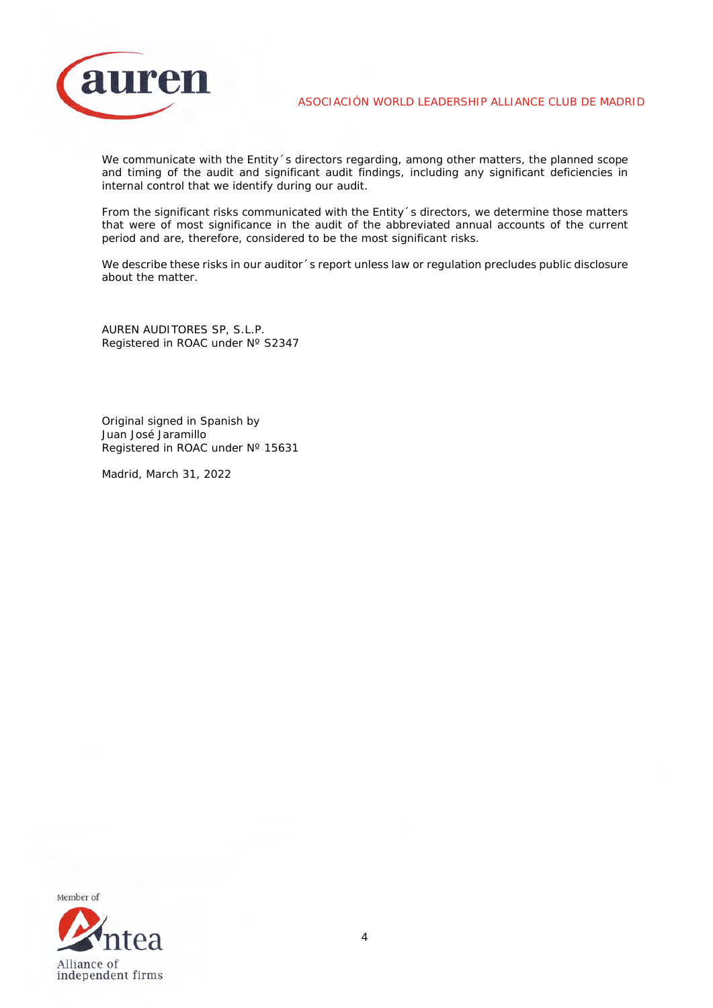

ASOCIACIÓN WORLD LEADERSHIP ALLIANCE CLUB DE MADRID

We communicate with the Entity's directors regarding, among other matters, the planned scope and timing of the audit and significant audit findings, including any significant deficiencies in internal control that we identify during our audit.

From the significant risks communicated with the Entity´s directors, we determine those matters that were of most significance in the audit of the abbreviated annual accounts of the current period and are, therefore, considered to be the most significant risks.

We describe these risks in our auditor 's report unless law or regulation precludes public disclosure about the matter.

AUREN AUDITORES SP, S.L.P. Registered in ROAC under Nº S2347

Original signed in Spanish by Juan José Jaramillo Registered in ROAC under N° 15631

Madrid, March 31, 2022

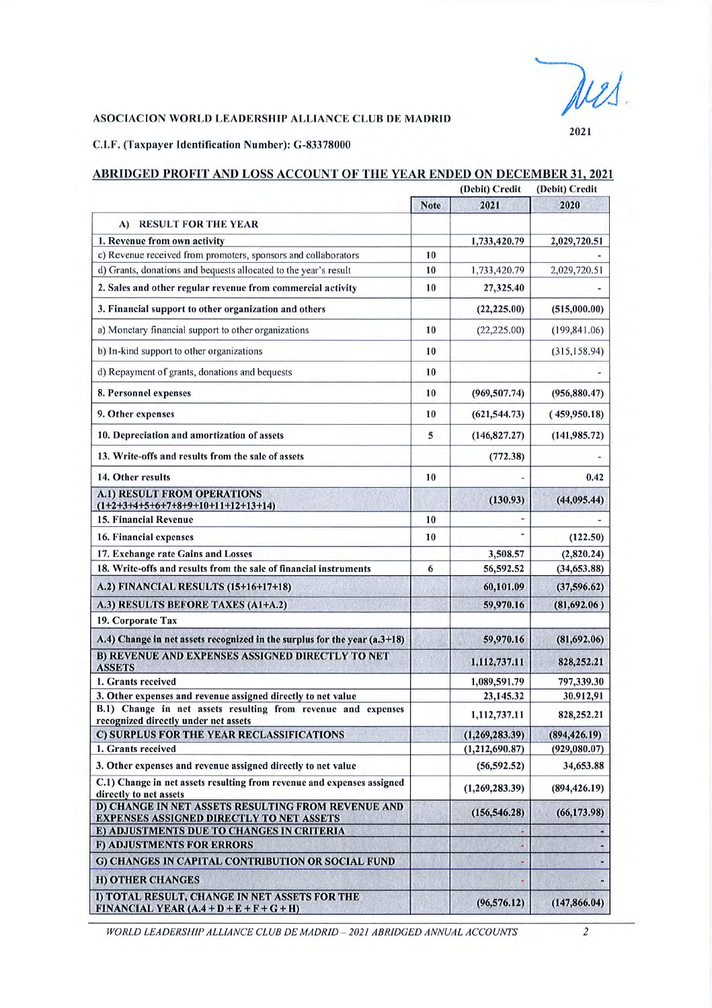2021

### ASOCIACION WORLD LEADERSHIP ALLIANCE CLUB DE MADRID

C.I.F. (Taxpayer Identification Number): G-83378000

|                                                                                                       | (Debit) Credit |                          | (Debit) Credit |  |
|-------------------------------------------------------------------------------------------------------|----------------|--------------------------|----------------|--|
|                                                                                                       | <b>Note</b>    | 2021                     | 2020           |  |
| <b>RESULT FOR THE YEAR</b><br>A)                                                                      |                |                          |                |  |
| 1. Revenue from own activity                                                                          |                | 1,733,420.79             | 2,029,720.51   |  |
| c) Revenue received from promoters, sponsors and collaborators                                        | 10             |                          |                |  |
| d) Grants, donations and bequests allocated to the year's result                                      | 10             | 1,733,420.79             | 2,029,720.51   |  |
| 2. Sales and other regular revenue from commercial activity                                           | 10             | 27,325.40                |                |  |
| 3. Financial support to other organization and others                                                 |                | (22, 225.00)             | (515,000.00)   |  |
| a) Monetary financial support to other organizations                                                  | 10             | (22, 225.00)             | (199, 841.06)  |  |
| b) In-kind support to other organizations                                                             | 10             |                          | (315, 158.94)  |  |
| d) Repayment of grants, donations and bequests                                                        | 10             |                          |                |  |
| 8. Personnel expenses                                                                                 | 10             | (969, 507.74)            | (956, 880.47)  |  |
| 9. Other expenses                                                                                     | 10             | (621, 544.73)            | (459,950.18)   |  |
| 10. Depreciation and amortization of assets                                                           | 5              | (146, 827.27)            | (141, 985, 72) |  |
| 13. Write-offs and results from the sale of assets                                                    |                | (772.38)                 |                |  |
| 14. Other results                                                                                     | 10             |                          | 0.42           |  |
| <b>A.1) RESULT FROM OPERATIONS</b><br>$(1+2+3+4+5+6+7+8+9+10+11+12+13+14)$                            |                | (130.93)                 | (44, 095.44)   |  |
| <b>15. Financial Revenue</b>                                                                          | 10             | $\overline{\phantom{a}}$ |                |  |
| 16. Financial expenses                                                                                | 10             | ٠                        | (122.50)       |  |
| 17. Exchange rate Gains and Losses                                                                    |                | 3,508.57                 | (2,820.24)     |  |
| 18. Write-offs and results from the sale of financial instruments                                     | 6              | 56,592.52                | (34, 653.88)   |  |
| A.2) FINANCIAL RESULTS (15+16+17+18)                                                                  |                | 60,101.09                | (37, 596.62)   |  |
| A.3) RESULTS BEFORE TAXES (A1+A.2)                                                                    |                | 59,970.16                | (81,692.06)    |  |
| 19. Corporate Tax                                                                                     |                |                          |                |  |
| A.4) Change in net assets recognized in the surplus for the year (a.3+18)                             |                | 59,970.16                | (81,692.06)    |  |
| <b>B) REVENUE AND EXPENSES ASSIGNED DIRECTLY TO NET</b><br><b>ASSETS</b>                              |                | 1,112,737.11             | 828,252.21     |  |
| 1. Grants received                                                                                    |                | 1,089,591.79             | 797,339.30     |  |
| 3. Other expenses and revenue assigned directly to net value                                          |                | 23,145.32                | 30.912,91      |  |
| B.1) Change in net assets resulting from revenue and expenses<br>recognized directly under net assets |                | 1,112,737.11             | 828,252.21     |  |
| C) SURPLUS FOR THE YEAR RECLASSIFICATIONS                                                             |                | (1,269,283.39)           | (894, 426.19)  |  |
| 1. Grants received                                                                                    |                | (1, 212, 690.87)         | (929, 080.07)  |  |
| 3. Other expenses and revenue assigned directly to net value                                          |                | (56, 592.52)             | 34,653.88      |  |
| C.1) Change in net assets resulting from revenue and expenses assigned<br>directly to net assets      |                | (1, 269, 283.39)         | (894, 426.19)  |  |
| D) CHANGE IN NET ASSETS RESULTING FROM REVENUE AND<br><b>EXPENSES ASSIGNED DIRECTLY TO NET ASSETS</b> |                | (156, 546.28)            | (66, 173.98)   |  |
| E) ADJUSTMENTS DUE TO CHANGES IN CRITERIA                                                             |                |                          |                |  |
| <b>F) ADJUSTMENTS FOR ERRORS</b>                                                                      |                |                          |                |  |
| G) CHANGES IN CAPITAL CONTRIBUTION OR SOCIAL FUND                                                     |                |                          |                |  |
| <b>H) OTHER CHANGES</b>                                                                               |                |                          |                |  |
| I) TOTAL RESULT, CHANGE IN NET ASSETS FOR THE<br>FINANCIAL VEAR $(A, 4 + D + E + F + G + H)$          |                | (96, 576.12)             | (147, 866.04)  |  |

# ABRIDGED PROFIT AND LOSS ACCOUNT OF THE YEAR ENDED ON DECEMBER 31, 2021

WORLD LEADERSHIP ALLIANCE CLUB DE MADRID - 2021 ABRIDGED ANNUAL ACCOUNTS